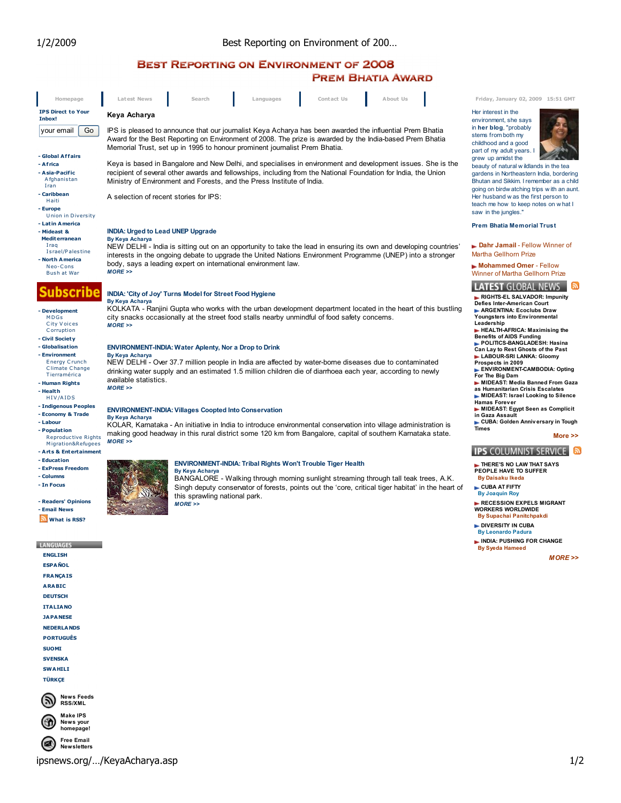# **BEST REPORTING ON ENVIRONMENT OF 2008 PREM BHATIA AWARD**

| Homepage                                                                                                                                                      | Latest News<br>Search<br>Languages<br>Contact Us<br>About Us                                                                                                                                                                                                                                                                                                                 |
|---------------------------------------------------------------------------------------------------------------------------------------------------------------|------------------------------------------------------------------------------------------------------------------------------------------------------------------------------------------------------------------------------------------------------------------------------------------------------------------------------------------------------------------------------|
| <b>IPS Direct to Your</b><br>Inbox!                                                                                                                           | Keya Acharya                                                                                                                                                                                                                                                                                                                                                                 |
| Go<br>your email                                                                                                                                              | IPS is pleased to announce that our journalist Keya Acharya has been awarded the influential Prem Bhatia<br>Award for the Best Reporting on Environment of 2008. The prize is awarded by the India-based Prem Bhatia<br>Memorial Trust, set up in 1995 to honour prominent journalist Prem Bhatia.                                                                           |
| - Global Affairs<br>- Africa<br>- Asia-Pacific<br>Afghanistan<br>Iran<br>- Caribbean<br>Haiti<br>- Europe                                                     | Keya is based in Bangalore and New Delhi, and specialises in environment and development issues. She is the<br>recipient of several other awards and fellowships, including from the National Foundation for India, the Union<br>Ministry of Environment and Forests, and the Press Institute of India.<br>A selection of recent stories for IPS:                            |
| Union in Diversity<br>- Latin America<br>- Mideast &<br><b>Mediterranean</b><br>Iraq<br>Israel/Palestine<br>- North America<br>Neo-Cons<br><b>Bush at War</b> | <b>INDIA: Urged to Lead UNEP Upgrade</b><br><b>By Keya Acharya</b><br>NEW DELHI- India is sitting out on an opportunity to take the lead in ensuring its own and developing countries<br>interests in the ongoing debate to upgrade the United Nations Environment Programme (UNEP) into a stronger<br>body, says a leading expert on international environment law.<br>MORE |
| ubscribe<br>- Development<br><b>MDGs</b><br>City Voices<br>Corruption                                                                                         | INDIA: 'City of Joy' Turns Model for Street Food Hygiene<br>By Keya Acharya<br>KOLKATA - Ranjini Gupta who works with the urban development department located in the heart of this bustling<br>city snacks occasionally at the street food stalls nearby unmindful of food safety concerns.<br>$MORE$ >>                                                                    |
| - Civil Society<br>- Globalisation<br>- Environment<br>Energy Crunch<br><b>Climate Change</b><br>Tierramérica<br>- Human Rights<br>- Health<br>HIV/AIDS       | <b>ENVIRONMENT-INDIA: Water Aplenty, Nor a Drop to Drink</b><br>By Keya Acharya<br>NEW DELHI - Over 37.7 million people in India are affected by water-borne diseases due to contaminated<br>drinking water supply and an estimated 1.5 million children die of diarrhoea each year, according to newly<br>available statistics.<br>$MORE$ >>                                |
| - Indigenous Peoples<br>- Economy & Trade<br>- Labour<br>- Population<br><b>Reproductive Rights</b><br>Migration&Refugees<br>- Arts & Entertainment           | <b>ENVIRONMENT-INDIA: Villages Coopted Into Conservation</b><br><b>By Keya Acharya</b><br>KOLAR, Karnataka - An initiative in India to introduce environmental conservation into village administration is<br>making good headway in this rural district some 120 km from Bangalore, capital of southern Karnataka state.<br>$MORE$ >>                                       |
| - Education<br>- ExPress Freedom<br>- Columns<br>- In Focus<br>- Readers' Opinions<br>- Email News<br><b>What is RSS?</b>                                     | <b>ENVIRONMENT-INDIA: Tribal Rights Won't Trouble Tiger Health</b><br>By Keya Acharya<br>BANGALORE - Walking through morning sunlight streaming through tall teak trees, A.K.<br>Singh deputy conservator of forests, points out the 'core, critical tiger habitat' in the heart of<br>this sprawling national park.<br>MORE                                                 |
| <b>LANGUAGES</b><br><b>ENGLISH</b><br><b>ESPAÑOL</b><br><b>FRANÇAIS</b><br><b>ARABIC</b><br><b>DEUTSCH</b><br><b>ITALIANO</b><br><b>14 DA NESE</b>            |                                                                                                                                                                                                                                                                                                                                                                              |

Friday, January 02, 2009 15:51 GMT

Her interest in the environment, she says in her blog, "probably stems from both my childhood and a good part of my adult years. I grew up amidst the



beauty of natural wildlands in the tea gardens in Northeastern India, bordering Bhutan and Sikkim. I remember as a child going on birdwatching trips with an aunt.<br>Her husband was the first person to teach me how to keep notes on what I saw in the jungles."

## **Prem Bhatia Memorial Trust**

Dahr Jamail - Fellow Winner of Martha Gellhorn Prize

Mohammed Omer - Fellow Winner of Martha Gellhorn Prize

**LATEST GLOBAL NEWS** RIGHTS-EL SALVADOR: Impunity<br>Defies Inter-American Court ARGENTINA: Ecoclubs Draw<br>Youngsters into Environmental Leadership<br>
FIEALTH-AFRICA: Maximising the **EXECUTE OF A ADS Funding the POLITICS-BANGLADESH: Hasina**<br>Can Lay to Rest Ghosts of the Past<br>LABOUR-SRI LANKA: Gloomy Prospects in 2009<br>ENVIRONMENT-CAMBODIA: Opting For The Big Dam MIDEAST: Media Banned From Gaza<br>as Humanitarian Crisis Escalates MIDEAST: Israel Looking to Silence Hamas Forever<br>MIDEAST: Egypt Seen as Complicit

Complicit<br>in Gaza Assault<br>CUBA: Golden Anniversary in Tough<br>Times

## More >>

## **IPS COLUMNIST SERVICE**

THERE'S NO LAW THAT SAYS<br>PEOPLE HAVE TO SUFFER **By Daisaku Ikeda** 

CUBA AT FIFTY **By Joaquin Roy** 

RECESSION EXPELS MIGRANT **WORKERS WORLDWIDE By Supachai Panitchpakdi** 

DIVERSITY IN CUBA **By Leonardo Padura** 

INDIA: PUSHING FOR CHANGE **By Syeda Hameed** 

 $MORE$ 

Free Email<br>New sletters  $\circledast$ 

**News Feeds** 

**RSS/XML** Make IPS News your homepage!

**NEDERLANDS PORTUGUÊS SUOMI SVENSKA SWAHILI** TÜRKCE

(ක)

ipsnews.org/.../KeyaAcharya.asp